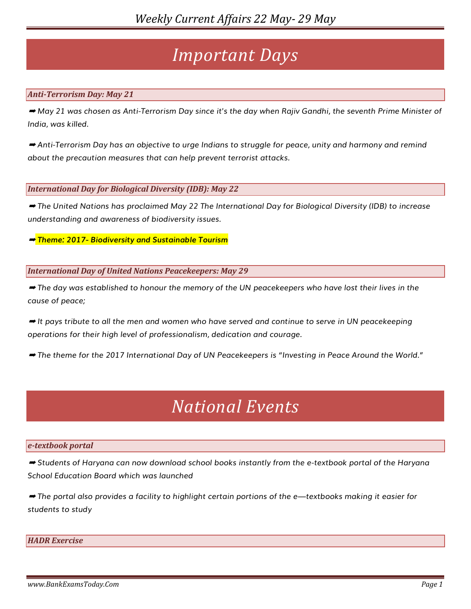## *Important Days*

#### *Anti-Terrorism Day: May 21*

➡ *May 21 was chosen as Anti-Terrorism Day since it's the day when Rajiv Gandhi, the seventh Prime Minister of India, was killed.*

➡ *Anti-Terrorism Day has an objective to urge Indians to struggle for peace, unity and harmony and remind about the precaution measures that can help prevent terrorist attacks.*

*International Day for Biological Diversity (IDB): May 22*

➡ *The United Nations has proclaimed May 22 The International Day for Biological Diversity (IDB) to increase understanding and awareness of biodiversity issues.*

➡ *Theme: 2017- Biodiversity and Sustainable Tourism*

*International Day of United Nations Peacekeepers: May 29*

➡ *The day was established to honour the memory of the UN peacekeepers who have lost their lives in the cause of peace;*

➡ *It pays tribute to all the men and women who have served and continue to serve in UN peacekeeping operations for their high level of professionalism, dedication and courage.*

➡ *The theme for the 2017 International Day of UN Peacekeepers is "Investing in Peace Around the World."*

## *National Events*

#### *e-textbook portal*

➡ *Students of Haryana can now download school books instantly from the e-textbook portal of the Haryana School Education Board which was launched*

➡ *The portal also provides a facility to highlight certain portions of the e—textbooks making it easier for students to study*

#### *HADR Exercise*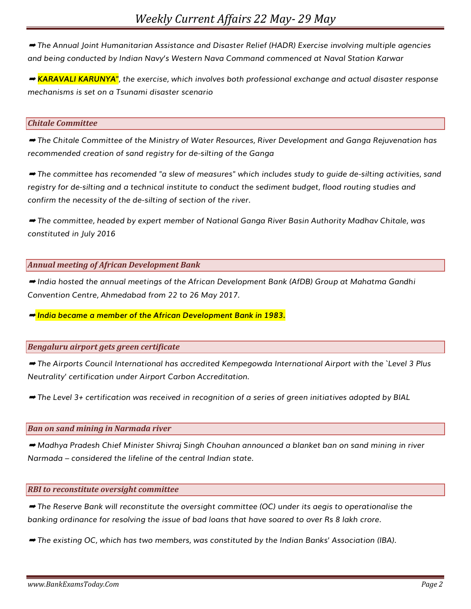➡ *The Annual Joint Humanitarian Assistance and Disaster Relief (HADR) Exercise involving multiple agencies and being conducted by Indian Navy's Western Nava Command commenced at Naval Station Karwar*

➡ *KARAVALI KARUNYA", the exercise, which involves both professional exchange and actual disaster response mechanisms is set on a Tsunami disaster scenario*

#### *Chitale Committee*

➡ *The Chitale Committee of the Ministry of Water Resources, River Development and Ganga Rejuvenation has recommended creation of sand registry for de-silting of the Ganga*

➡ *The committee has recomended "a slew of measures" which includes study to guide de-silting activities, sand registry for de-silting and a technical institute to conduct the sediment budget, flood routing studies and confirm the necessity of the de-silting of section of the river.*

➡ *The committee, headed by expert member of National Ganga River Basin Authority Madhav Chitale, was constituted in July 2016*

*Annual meeting of African Development Bank*

➡ *India hosted the annual meetings of the African Development Bank (AfDB) Group at Mahatma Gandhi Convention Centre, Ahmedabad from 22 to 26 May 2017.*

➡ *India became a member of the African Development Bank in 1983.*

#### *Bengaluru airport gets green certificate*

➡ *The Airports Council International has accredited Kempegowda International Airport with the `Level 3 Plus Neutrality' certification under Airport Carbon Accreditation.*

➡ *The Level 3+ certification was received in recognition of a series of green initiatives adopted by BIAL*

#### *Ban on sand mining in Narmada river*

➡ *Madhya Pradesh Chief Minister Shivraj Singh Chouhan announced a blanket ban on sand mining in river Narmada – considered the lifeline of the central Indian state.*

#### *RBI to reconstitute oversight committee*

➡ *The Reserve Bank will reconstitute the oversight committee (OC) under its aegis to operationalise the banking ordinance for resolving the issue of bad loans that have soared to over Rs 8 lakh crore.*

➡ *The existing OC, which has two members, was constituted by the Indian Banks' Association (IBA).*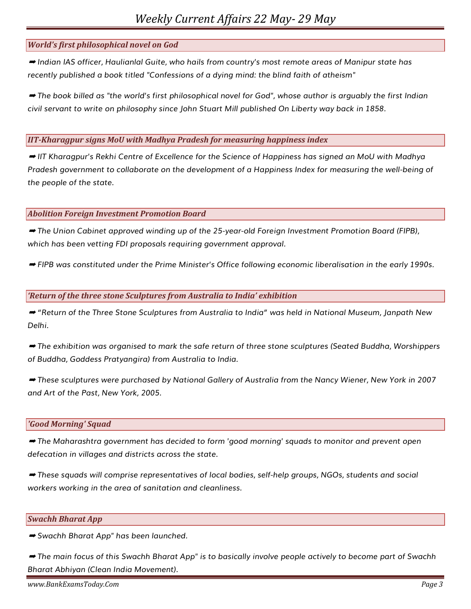## *World's first philosophical novel on God*

➡ *Indian IAS officer, Haulianlal Guite, who hails from country's most remote areas of Manipur state has recently published a book titled "Confessions of a dying mind: the blind faith of atheism"*

➡ *The book billed as "the world's first philosophical novel for God", whose author is arguably the first Indian civil servant to write on philosophy since John Stuart Mill published On Liberty way back in 1858.*

#### *IIT-Kharagpur signs MoU with Madhya Pradesh for measuring happiness index*

➡ *IIT Kharagpur's Rekhi Centre of Excellence for the Science of Happiness has signed an MoU with Madhya Pradesh government to collaborate on the development of a Happiness Index for measuring the well-being of the people of the state.*

#### *Abolition Foreign Investment Promotion Board*

➡ *The Union Cabinet approved winding up of the 25-year-old Foreign Investment Promotion Board (FIPB), which has been vetting FDI proposals requiring government approval.*

➡ *FIPB was constituted under the Prime Minister's Office following economic liberalisation in the early 1990s.*

#### *'Return of the three stone Sculptures from Australia to India' exhibition*

➡ *"Return of the Three Stone Sculptures from Australia to India" was held in National Museum, Janpath New Delhi.*

➡ *The exhibition was organised to mark the safe return of three stone sculptures (Seated Buddha, Worshippers of Buddha, Goddess Pratyangira) from Australia to India.* 

➡ *These sculptures were purchased by National Gallery of Australia from the Nancy Wiener, New York in 2007 and Art of the Past, New York, 2005.*

#### *'Good Morning' Squad*

➡ *The Maharashtra government has decided to form 'good morning' squads to monitor and prevent open defecation in villages and districts across the state.*

➡ *These squads will comprise representatives of local bodies, self-help groups, NGOs, students and social workers working in the area of sanitation and cleanliness.*

#### *Swachh Bharat App*

➡ *Swachh Bharat App" has been launched.* 

➡ *The main focus of this Swachh Bharat App" is to basically involve people actively to become part of Swachh Bharat Abhiyan (Clean India Movement).*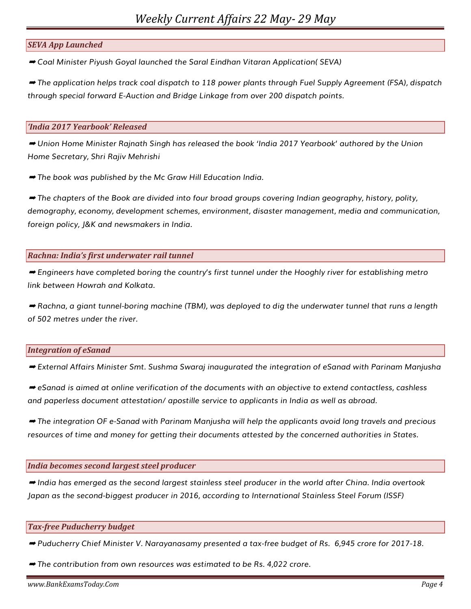## *SEVA App Launched*

➡ *Coal Minister Piyush Goyal launched the Saral Eindhan Vitaran Application( SEVA)*

➡ *The application helps track coal dispatch to 118 power plants through Fuel Supply Agreement (FSA), dispatch through special forward E-Auction and Bridge Linkage from over 200 dispatch points.*

#### *'India 2017 Yearbook' Released*

➡ *Union Home Minister Rajnath Singh has released the book 'India 2017 Yearbook' authored by the Union Home Secretary, Shri Rajiv Mehrishi*

➡ *The book was published by the Mc Graw Hill Education India.*

➡ *The chapters of the Book are divided into four broad groups covering Indian geography, history, polity, demography, economy, development schemes, environment, disaster management, media and communication, foreign policy, J&K and newsmakers in India.*

## *Rachna: India's first underwater rail tunnel*

➡ *Engineers have completed boring the country's first tunnel under the Hooghly river for establishing metro link between Howrah and Kolkata.*

➡ *Rachna, a giant tunnel-boring machine (TBM), was deployed to dig the underwater tunnel that runs a length of 502 metres under the river.*

## *Integration of eSanad*

➡ *External Affairs Minister Smt. Sushma Swaraj inaugurated the integration of eSanad with Parinam Manjusha*

➡ *eSanad is aimed at online verification of the documents with an objective to extend contactless, cashless and paperless document attestation/ apostille service to applicants in India as well as abroad.*

➡ *The integration OF e-Sanad with Parinam Manjusha will help the applicants avoid long travels and precious resources of time and money for getting their documents attested by the concerned authorities in States.*

## *India becomes second largest steel producer*

➡ *India has emerged as the second largest stainless steel producer in the world after China. India overtook Japan as the second-biggest producer in 2016, according to International Stainless Steel Forum (ISSF)*

#### *Tax-free Puducherry budget*

➡ *Puducherry Chief Minister V. Narayanasamy presented a tax-free budget of Rs. 6,945 crore for 2017-18.*

➡ *The contribution from own resources was estimated to be Rs. 4,022 crore.*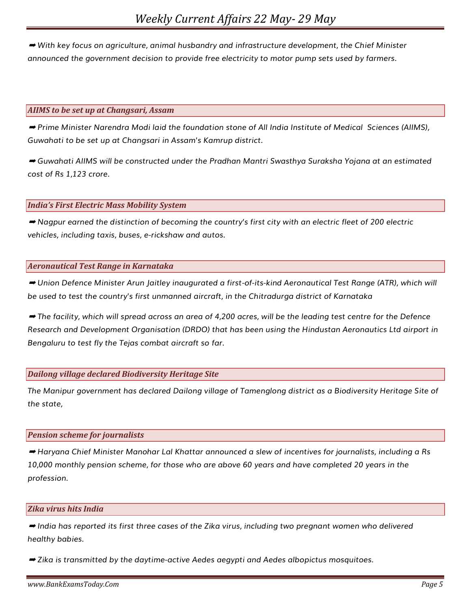➡ *With key focus on agriculture, animal husbandry and infrastructure development, the Chief Minister announced the government decision to provide free electricity to motor pump sets used by farmers.*

#### *AIIMS to be set up at Changsari, Assam*

➡ *Prime Minister Narendra Modi laid the foundation stone of All India Institute of Medical Sciences (AIIMS), Guwahati to be set up at Changsari in Assam's Kamrup district.*

➡ *Guwahati AIIMS will be constructed under the Pradhan Mantri Swasthya Suraksha Yojana at an estimated cost of Rs 1,123 crore.*

#### *India's First Electric Mass Mobility System*

➡ *Nagpur earned the distinction of becoming the country's first city with an electric fleet of 200 electric vehicles, including taxis, buses, e-rickshaw and autos.*

#### *Aeronautical Test Range in Karnataka*

➡ *Union Defence Minister Arun Jaitley inaugurated a first-of-its-kind Aeronautical Test Range (ATR), which will be used to test the country's first unmanned aircraft, in the Chitradurga district of Karnataka*

➡ *The facility, which will spread across an area of 4,200 acres, will be the leading test centre for the Defence Research and Development Organisation (DRDO) that has been using the Hindustan Aeronautics Ltd airport in Bengaluru to test fly the Tejas combat aircraft so far.*

## *Dailong village declared Biodiversity Heritage Site*

*The Manipur government has declared Dailong village of Tamenglong district as a Biodiversity Heritage Site of the state,*

#### *Pension scheme for journalists*

➡ *Haryana Chief Minister Manohar Lal Khattar announced a slew of incentives for journalists, including a Rs 10,000 monthly pension scheme, for those who are above 60 years and have completed 20 years in the profession.*

#### *Zika virus hits India*

➡ *India has reported its first three cases of the Zika virus, including two pregnant women who delivered healthy babies.*

➡ *Zika is transmitted by the daytime-active Aedes aegypti and Aedes albopictus mosquitoes.*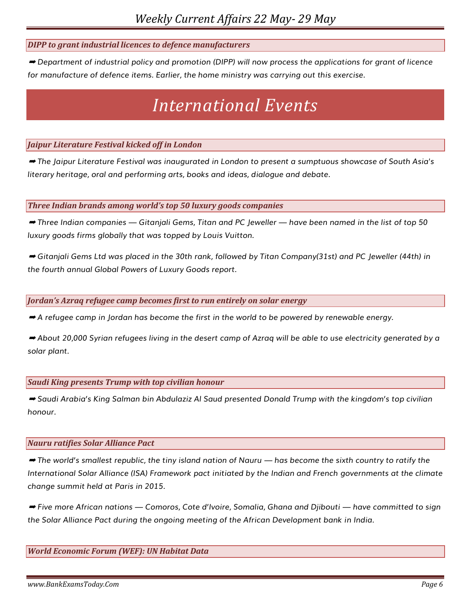## *DIPP to grant industrial licences to defence manufacturers*

➡ *Department of industrial policy and promotion (DIPP) will now process the applications for grant of licence for manufacture of defence items. Earlier, the home ministry was carrying out this exercise.*

## *International Events*

## *Jaipur Literature Festival kicked off in London*

➡ *The Jaipur Literature Festival was inaugurated in London to present a sumptuous showcase of South Asia's literary heritage, oral and performing arts, books and ideas, dialogue and debate.*

*Three Indian brands among world's top 50 luxury goods companies*

➡ *Three Indian companies — Gitanjali Gems, Titan and PC Jeweller — have been named in the list of top 50 luxury goods firms globally that was topped by Louis Vuitton.*

➡ *Gitanjali Gems Ltd was placed in the 30th rank, followed by Titan Company(31st) and PC Jeweller (44th) in the fourth annual Global Powers of Luxury Goods report.*

#### *Jordan's Azraq refugee camp becomes first to run entirely on solar energy*

➡ *A refugee camp in Jordan has become the first in the world to be powered by renewable energy.*

➡ *About 20,000 Syrian refugees living in the desert camp of Azraq will be able to use electricity generated by a solar plant.*

*Saudi King presents Trump with top civilian honour*

➡ *Saudi Arabia's King Salman bin Abdulaziz Al Saud presented Donald Trump with the kingdom's top civilian honour.*

#### *Nauru ratifies Solar Alliance Pact*

➡ *The world's smallest republic, the tiny island nation of Nauru — has become the sixth country to ratify the International Solar Alliance (ISA) Framework pact initiated by the Indian and French governments at the climate change summit held at Paris in 2015.*

➡ *Five more African nations — Comoros, Cote d'Ivoire, Somalia, Ghana and Djibouti — have committed to sign the Solar Alliance Pact during the ongoing meeting of the African Development bank in India.*

## *World Economic Forum (WEF): UN Habitat Data*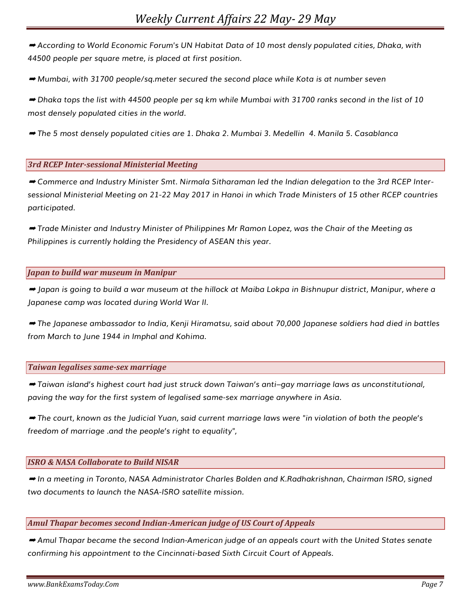➡ *According to World Economic Forum's UN Habitat Data of 10 most densly populated cities, Dhaka, with 44500 people per square metre, is placed at first position.*

➡ *Mumbai, with 31700 people/sq.meter secured the second place while Kota is at number seven*

➡ *Dhaka tops the list with 44500 people per sq km while Mumbai with 31700 ranks second in the list of 10 most densely populated cities in the world.*

➡ *The 5 most densely populated cities are 1. Dhaka 2. Mumbai 3. Medellin 4. Manila 5. Casablanca*

## *3rd RCEP Inter-sessional Ministerial Meeting*

➡ *Commerce and Industry Minister Smt. Nirmala Sitharaman led the Indian delegation to the 3rd RCEP Intersessional Ministerial Meeting on 21-22 May 2017 in Hanoi in which Trade Ministers of 15 other RCEP countries participated.* 

➡ *Trade Minister and Industry Minister of Philippines Mr Ramon Lopez, was the Chair of the Meeting as Philippines is currently holding the Presidency of ASEAN this year.*

## *Japan to build war museum in Manipur*

➡ *Japan is going to build a war museum at the hillock at Maiba Lokpa in Bishnupur district, Manipur, where a Japanese camp was located during World War II.*

➡ *The Japanese ambassador to India, Kenji Hiramatsu, said about 70,000 Japanese soldiers had died in battles from March to June 1944 in Imphal and Kohima.*

#### *Taiwan legalises same-sex marriage*

➡ *Taiwan island's highest court had just struck down Taiwan's anti–gay marriage laws as unconstitutional, paving the way for the first system of legalised same-sex marriage anywhere in Asia.*

➡ *The court, known as the Judicial Yuan, said current marriage laws were "in violation of both the people's freedom of marriage .and the people's right to equality",*

## *ISRO & NASA Collaborate to Build NISAR*

➡ *In a meeting in Toronto, NASA Administrator Charles Bolden and K.Radhakrishnan, Chairman ISRO, signed two documents to launch the NASA-ISRO satellite mission.*

## *Amul Thapar becomes second Indian-American judge of US Court of Appeals*

➡ *Amul Thapar became the second Indian-American judge of an appeals court with the United States senate confirming his appointment to the Cincinnati-based Sixth Circuit Court of Appeals.*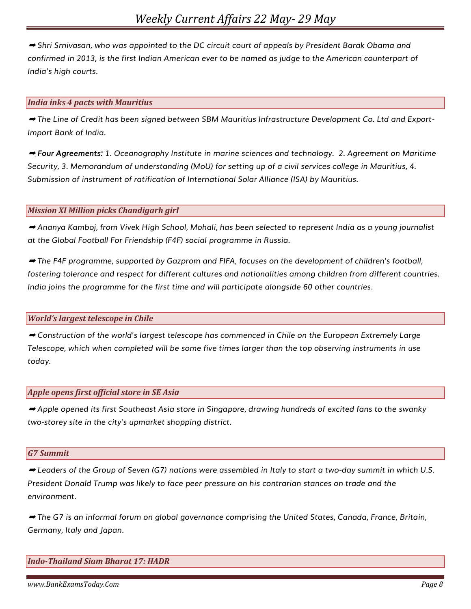➡ *Shri Srnivasan, who was appointed to the DC circuit court of appeals by President Barak Obama and confirmed in 2013, is the first Indian American ever to be named as judge to the American counterpart of India's high courts.*

#### *India inks 4 pacts with Mauritius*

➡ *The Line of Credit has been signed between SBM Mauritius Infrastructure Development Co. Ltd and Export-Import Bank of India.*

➡ *Four Agreements: 1. Oceanography Institute in marine sciences and technology. 2. Agreement on Maritime Security, 3. Memorandum of understanding (MoU) for setting up of a civil services college in Mauritius, 4. Submission of instrument of ratification of International Solar Alliance (ISA) by Mauritius.*

#### *Mission XI Million picks Chandigarh girl*

➡ *Ananya Kamboj, from Vivek High School, Mohali, has been selected to represent India as a young journalist at the Global Football For Friendship (F4F) social programme in Russia.*

➡ *The F4F programme, supported by Gazprom and FIFA, focuses on the development of children's football, fostering tolerance and respect for different cultures and nationalities among children from different countries. India joins the programme for the first time and will participate alongside 60 other countries.*

## *World's largest telescope in Chile*

➡ *Construction of the world's largest telescope has commenced in Chile on the European Extremely Large Telescope, which when completed will be some five times larger than the top observing instruments in use today.*

#### *Apple opens first official store in SE Asia*

➡ *Apple opened its first Southeast Asia store in Singapore, drawing hundreds of excited fans to the swanky two-storey site in the city's upmarket shopping district.*

#### *G7 Summit*

➡ *Leaders of the Group of Seven (G7) nations were assembled in Italy to start a two-day summit in which U.S. President Donald Trump was likely to face peer pressure on his contrarian stances on trade and the environment.*

➡ *The G7 is an informal forum on global governance comprising the United States, Canada, France, Britain, Germany, Italy and Japan.*

## *Indo-Thailand Siam Bharat 17: HADR*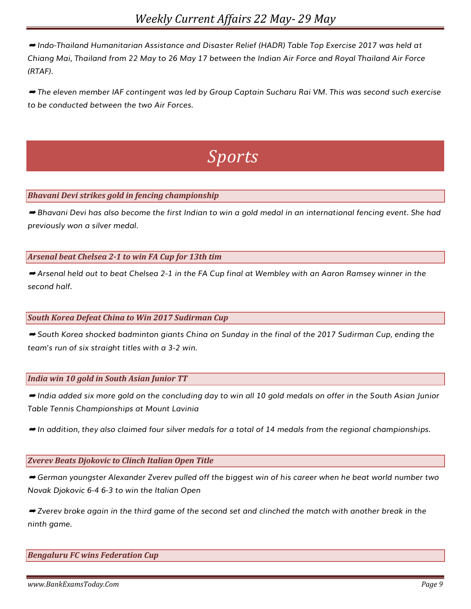➡ *Indo-Thailand Humanitarian Assistance and Disaster Relief (HADR) Table Top Exercise 2017 was held at Chiang Mai, Thailand from 22 May to 26 May 17 between the Indian Air Force and Royal Thailand Air Force (RTAF).*

➡ *The eleven member IAF contingent was led by Group Captain Sucharu Rai VM. This was second such exercise to be conducted between the two Air Forces.*

# *Sports*

## *Bhavani Devi strikes gold in fencing championship*

➡ *Bhavani Devi has also become the first Indian to win a gold medal in an international fencing event. She had previously won a silver medal.*

## *Arsenal beat Chelsea 2-1 to win FA Cup for 13th tim*

➡ *Arsenal held out to beat Chelsea 2-1 in the FA Cup final at Wembley with an Aaron Ramsey winner in the second half.*

## *South Korea Defeat China to Win 2017 Sudirman Cup*

➡ *South Korea shocked badminton giants China on Sunday in the final of the 2017 Sudirman Cup, ending the team's run of six straight titles with a 3-2 win.*

## *India win 10 gold in South Asian Junior TT*

➡ *India added six more gold on the concluding day to win all 10 gold medals on offer in the South Asian Junior Table Tennis Championships at Mount Lavinia*

➡ *In addition, they also claimed four silver medals for a total of 14 medals from the regional championships.*

## *Zverev Beats Djokovic to Clinch Italian Open Title*

➡ *German youngster Alexander Zverev pulled off the biggest win of his career when he beat world number two Novak Djokovic 6-4 6-3 to win the Italian Open*

➡ *Zverev broke again in the third game of the second set and clinched the match with another break in the ninth game.*

*Bengaluru FC wins Federation Cup*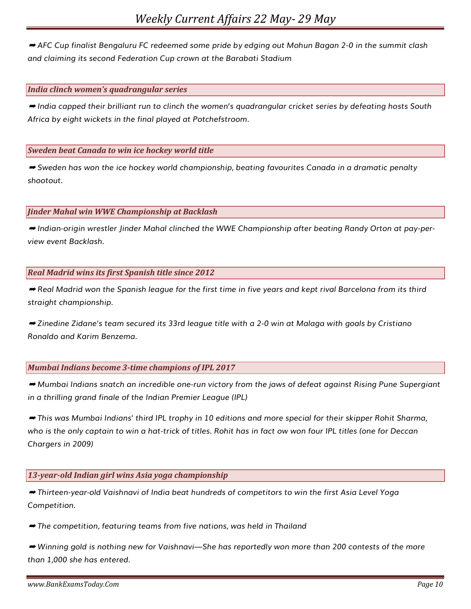➡ *AFC Cup finalist Bengaluru FC redeemed some pride by edging out Mohun Bagan 2-0 in the summit clash and claiming its second Federation Cup crown at the Barabati Stadium*

#### *India clinch women's quadrangular series*

➡ *India capped their brilliant run to clinch the women's quadrangular cricket series by defeating hosts South Africa by eight wickets in the final played at Potchefstroom.*

#### *Sweden beat Canada to win ice hockey world title*

➡ *Sweden has won the ice hockey world championship, beating favourites Canada in a dramatic penalty shootout.*

#### *Jinder Mahal win WWE Championship at Backlash*

➡ *Indian-origin wrestler Jinder Mahal clinched the WWE Championship after beating Randy Orton at pay-perview event Backlash.*

#### *Real Madrid wins its first Spanish title since 2012*

➡ *Real Madrid won the Spanish league for the first time in five years and kept rival Barcelona from its third straight championship.*

➡ *Zinedine Zidane's team secured its 33rd league title with a 2-0 win at Malaga with goals by Cristiano Ronaldo and Karim Benzema.*

#### *Mumbai Indians become 3-time champions of IPL 2017*

➡ *Mumbai Indians snatch an incredible one-run victory from the jaws of defeat against Rising Pune Supergiant in a thrilling grand finale of the Indian Premier League (IPL)*

➡ *This was Mumbai Indians' third IPL trophy in 10 editions and more special for their skipper Rohit Sharma, who is the only captain to win a hat-trick of titles. Rohit has in fact ow won four IPL titles (one for Deccan Chargers in 2009)*

## *13-year-old Indian girl wins Asia yoga championship*

➡ *Thirteen-year-old Vaishnavi of India beat hundreds of competitors to win the first Asia Level Yoga Competition.*

➡ *The competition, featuring teams from five nations, was held in Thailand*

➡ *Winning gold is nothing new for Vaishnavi—She has reportedly won more than 200 contests of the more than 1,000 she has entered.*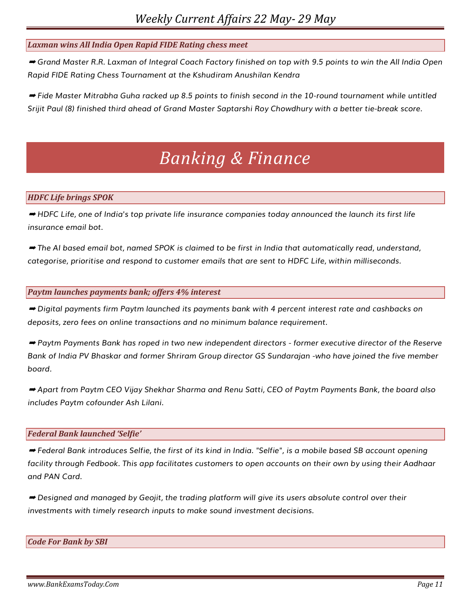## *Laxman wins All India Open Rapid FIDE Rating chess meet*

➡ *Grand Master R.R. Laxman of Integral Coach Factory finished on top with 9.5 points to win the All India Open Rapid FIDE Rating Chess Tournament at the Kshudiram Anushilan Kendra*

➡ *Fide Master Mitrabha Guha racked up 8.5 points to finish second in the 10-round tournament while untitled Srijit Paul (8) finished third ahead of Grand Master Saptarshi Roy Chowdhury with a better tie-break score.*

## *Banking & Finance*

## *HDFC Life brings SPOK*

➡ *HDFC Life, one of India's top private life insurance companies today announced the launch its first life insurance email bot.*

➡ *The AI based email bot, named SPOK is claimed to be first in India that automatically read, understand, categorise, prioritise and respond to customer emails that are sent to HDFC Life, within milliseconds.*

#### *Paytm launches payments bank; offers 4% interest*

➡ *Digital payments firm Paytm launched its payments bank with 4 percent interest rate and cashbacks on deposits, zero fees on online transactions and no minimum balance requirement.*

➡ *Paytm Payments Bank has roped in two new independent directors - former executive director of the Reserve Bank of India PV Bhaskar and former Shriram Group director GS Sundarajan -who have joined the five member board.*

➡ *Apart from Paytm CEO Vijay Shekhar Sharma and Renu Satti, CEO of Paytm Payments Bank, the board also includes Paytm cofounder Ash Lilani.*

## *Federal Bank launched 'Selfie'*

➡ *Federal Bank introduces Selfie, the first of its kind in India. "Selfie", is a mobile based SB account opening facility through Fedbook. This app facilitates customers to open accounts on their own by using their Aadhaar and PAN Card.* 

➡ *Designed and managed by Geojit, the trading platform will give its users absolute control over their investments with timely research inputs to make sound investment decisions.*

#### *Code For Bank by SBI*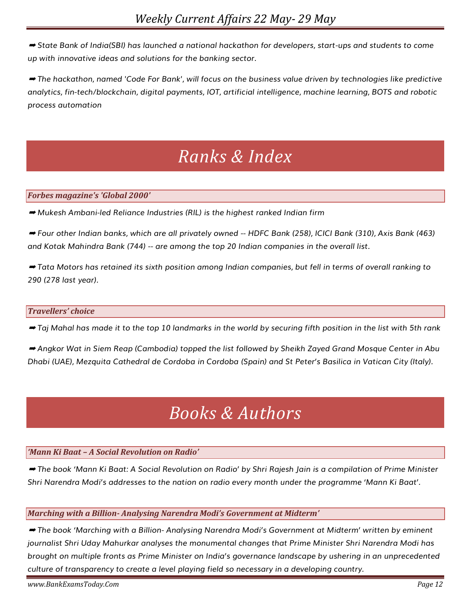➡ *State Bank of India(SBI) has launched a national hackathon for developers, start-ups and students to come up with innovative ideas and solutions for the banking sector.*

➡ *The hackathon, named 'Code For Bank', will focus on the business value driven by technologies like predictive analytics, fin-tech/blockchain, digital payments, IOT, artificial intelligence, machine learning, BOTS and robotic process automation*

# *Ranks & Index*

## *Forbes magazine's 'Global 2000'*

➡ *Mukesh Ambani-led Reliance Industries (RIL) is the highest ranked Indian firm*

➡ *Four other Indian banks, which are all privately owned -- HDFC Bank (258), ICICI Bank (310), Axis Bank (463) and Kotak Mahindra Bank (744) -- are among the top 20 Indian companies in the overall list.*

➡ *Tata Motors has retained its sixth position among Indian companies, but fell in terms of overall ranking to 290 (278 last year).*

## *Travellers' choice*

➡ *Taj Mahal has made it to the top 10 landmarks in the world by securing fifth position in the list with 5th rank*

➡ *Angkor Wat in Siem Reap (Cambodia) topped the list followed by Sheikh Zayed Grand Mosque Center in Abu Dhabi (UAE), Mezquita Cathedral de Cordoba in Cordoba (Spain) and St Peter's Basilica in Vatican City (Italy).*

# *Books & Authors*

## *'Mann Ki Baat – A Social Revolution on Radio'*

➡ *The book 'Mann Ki Baat: A Social Revolution on Radio' by Shri Rajesh Jain is a compilation of Prime Minister Shri Narendra Modi's addresses to the nation on radio every month under the programme 'Mann Ki Baat'.*

## *Marching with a Billion- Analysing Narendra Modi's Government at Midterm'*

➡ *The book 'Marching with a Billion- Analysing Narendra Modi's Government at Midterm' written by eminent journalist Shri Uday Mahurkar analyses the monumental changes that Prime Minister Shri Narendra Modi has brought on multiple fronts as Prime Minister on India's governance landscape by ushering in an unprecedented culture of transparency to create a level playing field so necessary in a developing country.*

*www.BankExamsToday.Com Page 12*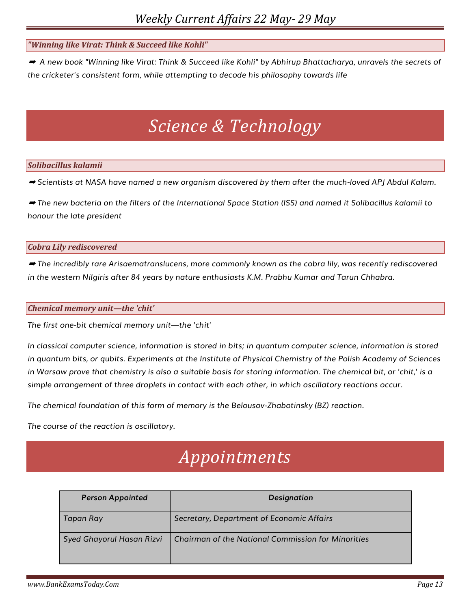## *"Winning like Virat: Think & Succeed like Kohli"*

➡ *A new book "Winning like Virat: Think & Succeed like Kohli" by Abhirup Bhattacharya, unravels the secrets of the cricketer's consistent form, while attempting to decode his philosophy towards life*

## *Science & Technology*

## *Solibacillus kalamii*

➡ *Scientists at NASA have named a new organism discovered by them after the much-loved APJ Abdul Kalam.*

➡ *The new bacteria on the filters of the International Space Station (ISS) and named it Solibacillus kalamii to honour the late president*

#### *Cobra Lily rediscovered*

➡ *The incredibly rare Arisaematranslucens, more commonly known as the cobra lily, was recently rediscovered in the western Nilgiris after 84 years by nature enthusiasts K.M. Prabhu Kumar and Tarun Chhabra.*

#### *Chemical memory unit—the 'chit'*

*The first one-bit chemical memory unit—the 'chit'*

*In classical computer science, information is stored in bits; in quantum computer science, information is stored in quantum bits, or qubits. Experiments at the Institute of Physical Chemistry of the Polish Academy of Sciences in Warsaw prove that chemistry is also a suitable basis for storing information. The chemical bit, or 'chit,' is a simple arrangement of three droplets in contact with each other, in which oscillatory reactions occur.*

*The chemical foundation of this form of memory is the Belousov-Zhabotinsky (BZ) reaction.* 

*The course of the reaction is oscillatory.*

## *Appointments*

| <b>Person Appointed</b>   | <b>Designation</b>                                        |
|---------------------------|-----------------------------------------------------------|
| Tapan Ray                 | Secretary, Department of Economic Affairs                 |
| Syed Ghayorul Hasan Rizvi | <b>Chairman of the National Commission for Minorities</b> |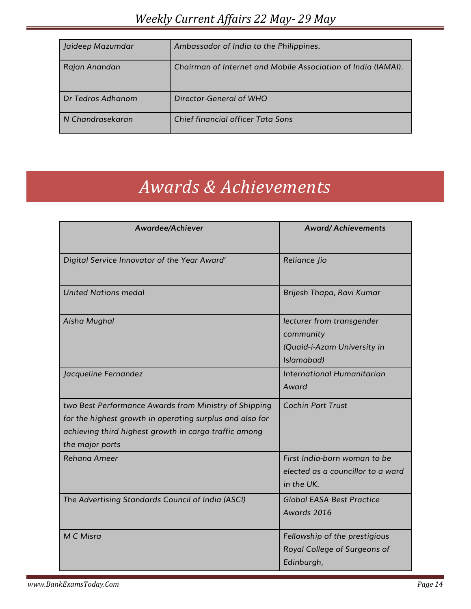| Jaideep Mazumdar  | Ambassador of India to the Philippines.                       |
|-------------------|---------------------------------------------------------------|
| Rajan Anandan     | Chairman of Internet and Mobile Association of India (IAMAI). |
| Dr Tedros Adhanom | Director-General of WHO                                       |
| N Chandrasekaran  | Chief financial officer Tata Sons                             |

# *Awards & Achievements*

| <b>Awardee/Achiever</b>                                                                                                                                                                       | <b>Award/Achievements</b>                                                           |
|-----------------------------------------------------------------------------------------------------------------------------------------------------------------------------------------------|-------------------------------------------------------------------------------------|
| Digital Service Innovator of the Year Award'                                                                                                                                                  | Reliance Jio                                                                        |
| <b>United Nations medal</b>                                                                                                                                                                   | Brijesh Thapa, Ravi Kumar                                                           |
| Aisha Mughal                                                                                                                                                                                  | lecturer from transgender<br>community<br>(Quaid-i-Azam University in<br>Islamabad) |
| Jacqueline Fernandez                                                                                                                                                                          | International Humanitarian<br>Award                                                 |
| two Best Performance Awards from Ministry of Shipping<br>for the highest growth in operating surplus and also for<br>achieving third highest growth in cargo traffic among<br>the major ports | <b>Cochin Port Trust</b>                                                            |
| <b>Rehana Ameer</b>                                                                                                                                                                           | First India-born woman to be<br>elected as a councillor to a ward<br>in the UK.     |
| The Advertising Standards Council of India (ASCI)                                                                                                                                             | <b>Global EASA Best Practice</b><br>Awards 2016                                     |
| M C Misra                                                                                                                                                                                     | Fellowship of the prestigious<br>Royal College of Surgeons of<br>Edinburgh,         |